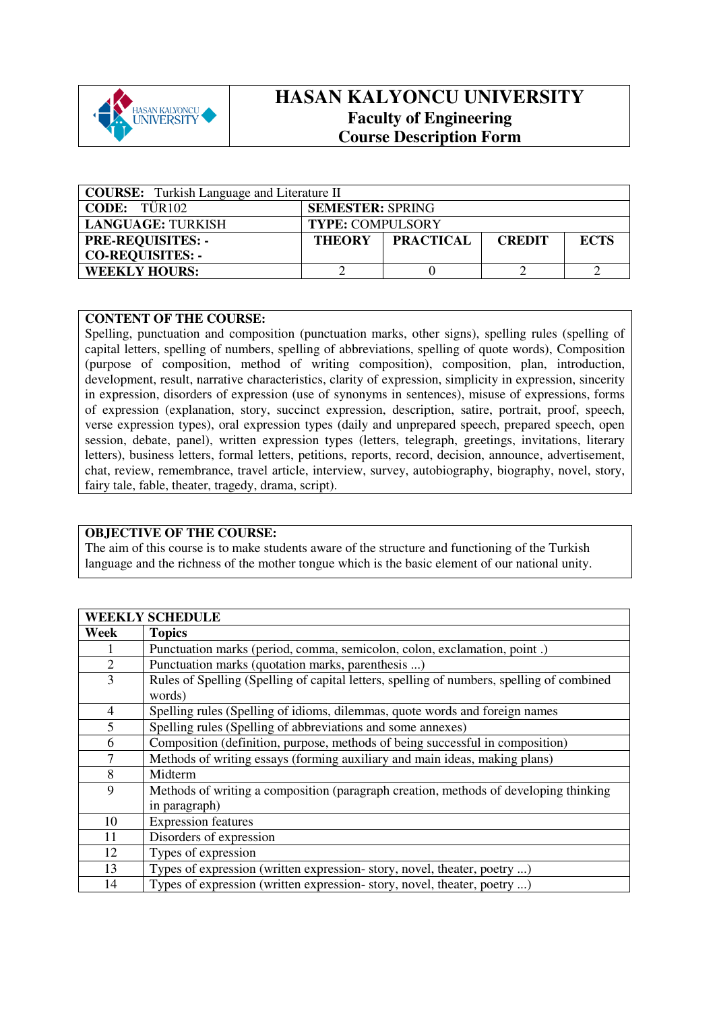

## **HASAN KALYONCU UNIVERSITY Faculty of Engineering Course Description Form**

| <b>COURSE:</b> Turkish Language and Literature II |                         |                  |               |             |  |
|---------------------------------------------------|-------------------------|------------------|---------------|-------------|--|
| <b>CODE:</b> TÜR102                               | <b>SEMESTER: SPRING</b> |                  |               |             |  |
| <b>LANGUAGE: TURKISH</b>                          | <b>TYPE: COMPULSORY</b> |                  |               |             |  |
| <b>PRE-REQUISITES: -</b>                          | <b>THEORY</b>           | <b>PRACTICAL</b> | <b>CREDIT</b> | <b>ECTS</b> |  |
| <b>CO-REQUISITES: -</b>                           |                         |                  |               |             |  |
| <b>WEEKLY HOURS:</b>                              |                         |                  |               |             |  |

## **CONTENT OF THE COURSE:**

Spelling, punctuation and composition (punctuation marks, other signs), spelling rules (spelling of capital letters, spelling of numbers, spelling of abbreviations, spelling of quote words), Composition (purpose of composition, method of writing composition), composition, plan, introduction, development, result, narrative characteristics, clarity of expression, simplicity in expression, sincerity in expression, disorders of expression (use of synonyms in sentences), misuse of expressions, forms of expression (explanation, story, succinct expression, description, satire, portrait, proof, speech, verse expression types), oral expression types (daily and unprepared speech, prepared speech, open session, debate, panel), written expression types (letters, telegraph, greetings, invitations, literary letters), business letters, formal letters, petitions, reports, record, decision, announce, advertisement, chat, review, remembrance, travel article, interview, survey, autobiography, biography, novel, story, fairy tale, fable, theater, tragedy, drama, script).

## **OBJECTIVE OF THE COURSE:**

The aim of this course is to make students aware of the structure and functioning of the Turkish language and the richness of the mother tongue which is the basic element of our national unity.

|                | <b>WEEKLY SCHEDULE</b>                                                                    |
|----------------|-------------------------------------------------------------------------------------------|
| Week           | <b>Topics</b>                                                                             |
| 1              | Punctuation marks (period, comma, semicolon, colon, exclamation, point.)                  |
| $\overline{2}$ | Punctuation marks (quotation marks, parenthesis )                                         |
| $\overline{3}$ | Rules of Spelling (Spelling of capital letters, spelling of numbers, spelling of combined |
|                | words)                                                                                    |
| 4              | Spelling rules (Spelling of idioms, dilemmas, quote words and foreign names               |
| 5              | Spelling rules (Spelling of abbreviations and some annexes)                               |
| 6              | Composition (definition, purpose, methods of being successful in composition)             |
| $\overline{7}$ | Methods of writing essays (forming auxiliary and main ideas, making plans)                |
| 8              | Midterm                                                                                   |
| 9              | Methods of writing a composition (paragraph creation, methods of developing thinking      |
|                | in paragraph)                                                                             |
| 10             | <b>Expression features</b>                                                                |
| 11             | Disorders of expression                                                                   |
| 12             | Types of expression                                                                       |
| 13             | Types of expression (written expression-story, novel, theater, poetry )                   |
| 14             | Types of expression (written expression-story, novel, theater, poetry )                   |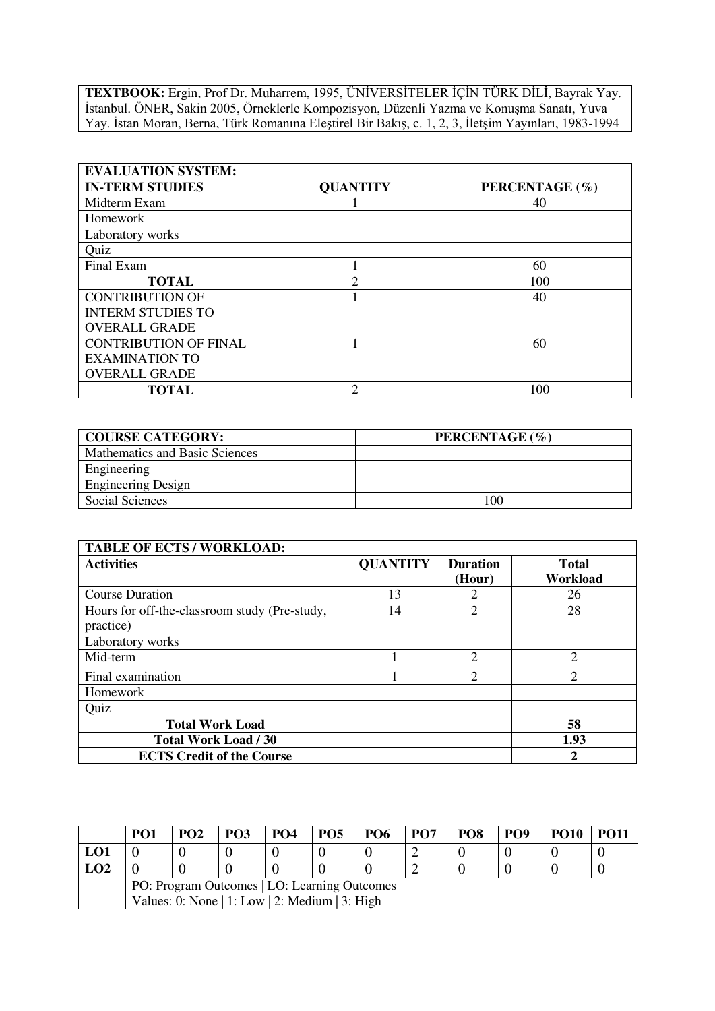**TEXTBOOK:** Ergin, Prof Dr. Muharrem, 1995, ÜNİVERSİTELER İÇİN TÜRK DİLİ, Bayrak Yay. İstanbul. ÖNER, Sakin 2005, Örneklerle Kompozisyon, Düzenli Yazma ve Konuşma Sanatı, Yuva Yay. İstan Moran, Berna, Türk Romanına Eleştirel Bir Bakış, c. 1, 2, 3, İletşim Yayınları, 1983-1994

| <b>EVALUATION SYSTEM:</b>    |                             |                |  |  |  |  |
|------------------------------|-----------------------------|----------------|--|--|--|--|
| <b>IN-TERM STUDIES</b>       | <b>QUANTITY</b>             | PERCENTAGE (%) |  |  |  |  |
| Midterm Exam                 |                             | 40             |  |  |  |  |
| Homework                     |                             |                |  |  |  |  |
| Laboratory works             |                             |                |  |  |  |  |
| Quiz                         |                             |                |  |  |  |  |
| Final Exam                   |                             | 60             |  |  |  |  |
| <b>TOTAL</b>                 | $\mathcal{D}_{\mathcal{A}}$ | 100            |  |  |  |  |
| <b>CONTRIBUTION OF</b>       |                             | 40             |  |  |  |  |
| <b>INTERM STUDIES TO</b>     |                             |                |  |  |  |  |
| <b>OVERALL GRADE</b>         |                             |                |  |  |  |  |
| <b>CONTRIBUTION OF FINAL</b> |                             | 60             |  |  |  |  |
| <b>EXAMINATION TO</b>        |                             |                |  |  |  |  |
| <b>OVERALL GRADE</b>         |                             |                |  |  |  |  |
| <b>TOTAL</b>                 | ↑                           | 100            |  |  |  |  |

| <b>COURSE CATEGORY:</b>        | PERCENTAGE (%) |
|--------------------------------|----------------|
| Mathematics and Basic Sciences |                |
| Engineering                    |                |
| <b>Engineering Design</b>      |                |
| Social Sciences                | 100            |

| <b>TABLE OF ECTS / WORKLOAD:</b>                           |                 |                           |                   |
|------------------------------------------------------------|-----------------|---------------------------|-------------------|
| <b>Activities</b>                                          | <b>QUANTITY</b> | <b>Duration</b><br>(Hour) | Total<br>Workload |
| <b>Course Duration</b>                                     | 13              |                           | 26                |
| Hours for off-the-classroom study (Pre-study,<br>practice) | 14              | 2                         | 28                |
| Laboratory works                                           |                 |                           |                   |
| Mid-term                                                   |                 | $\overline{2}$            | $\overline{2}$    |
| Final examination                                          |                 | $\mathcal{D}$             | $\overline{2}$    |
| Homework                                                   |                 |                           |                   |
| Quiz                                                       |                 |                           |                   |
| <b>Total Work Load</b>                                     |                 |                           | 58                |
| Total Work Load / 30                                       |                 |                           | 1.93              |
| <b>ECTS Credit of the Course</b>                           |                 |                           | 2                 |

|                                              | PO <sub>1</sub>                                | PO <sub>2</sub> | <b>PO3</b> | PO <sub>4</sub> | <b>PO5</b> | <b>PO6</b> | PO <sub>7</sub> | PO8 | PO <sub>9</sub> | <b>PO10</b> | PO11 |
|----------------------------------------------|------------------------------------------------|-----------------|------------|-----------------|------------|------------|-----------------|-----|-----------------|-------------|------|
| LO1                                          |                                                |                 |            |                 |            |            |                 |     |                 |             |      |
| LO2                                          |                                                |                 |            |                 |            |            |                 |     |                 |             |      |
| PO: Program Outcomes   LO: Learning Outcomes |                                                |                 |            |                 |            |            |                 |     |                 |             |      |
|                                              | Values: 0: None   1: Low   2: Medium   3: High |                 |            |                 |            |            |                 |     |                 |             |      |